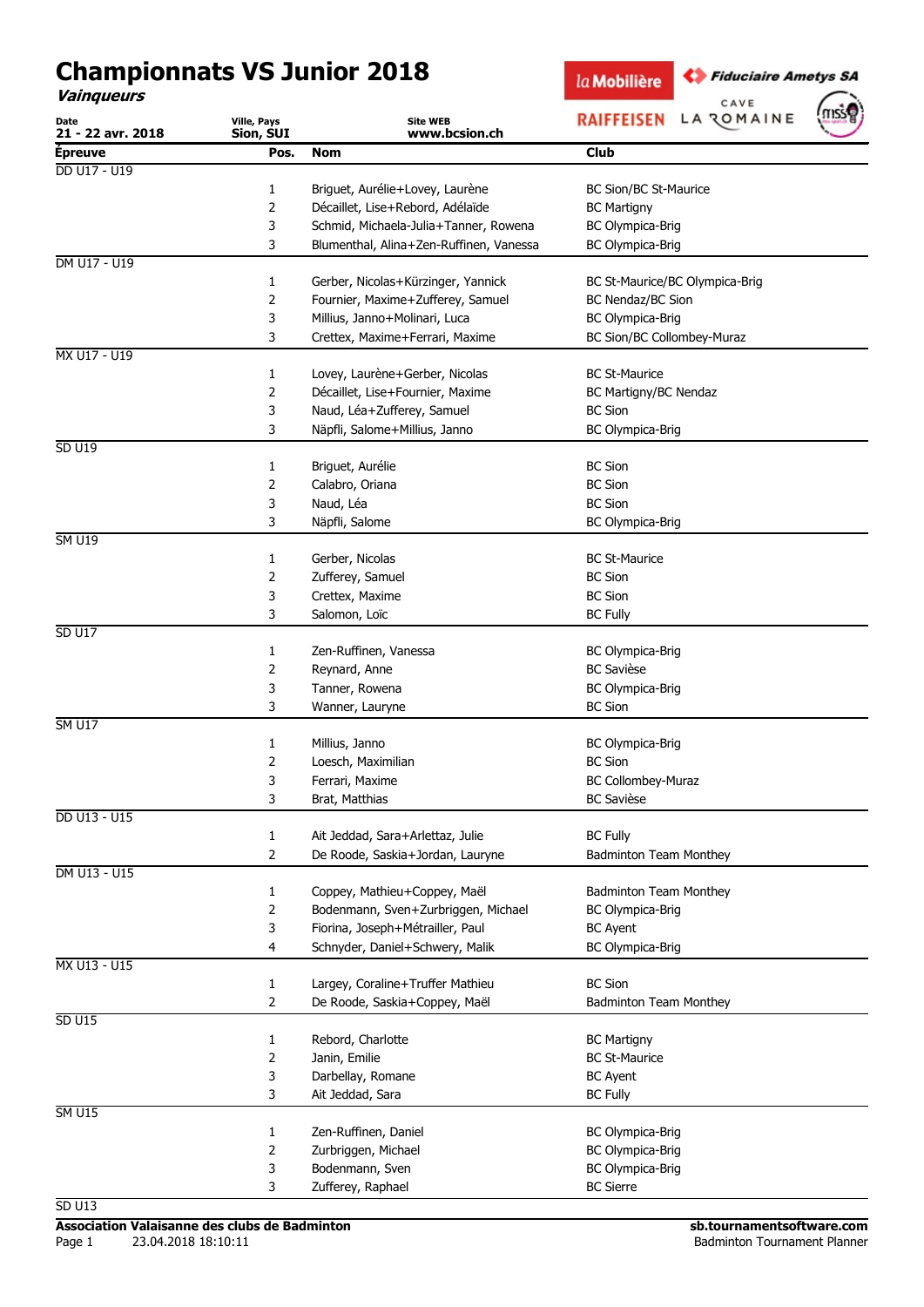## Championnats VS Junior 2018

Vainqueurs

la Mobilière

CAVE

**C** Fiduciaire Ametys SA



| <b>Club</b><br><b>Épreuve</b><br>Pos.<br>Nom<br>DD U17 - U19<br>Briguet, Aurélie+Lovey, Laurène<br><b>BC Sion/BC St-Maurice</b><br>1<br>2<br>Décaillet, Lise+Rebord, Adélaïde<br><b>BC Martigny</b><br>3<br>Schmid, Michaela-Julia+Tanner, Rowena<br>BC Olympica-Brig<br>3<br>Blumenthal, Alina+Zen-Ruffinen, Vanessa<br><b>BC Olympica-Brig</b><br>DM U17 - U19<br>1<br>Gerber, Nicolas+Kürzinger, Yannick<br>BC St-Maurice/BC Olympica-Brig<br>2<br>Fournier, Maxime+Zufferey, Samuel<br><b>BC Nendaz/BC Sion</b><br>3<br>Millius, Janno+Molinari, Luca<br><b>BC Olympica-Brig</b><br>3<br>BC Sion/BC Collombey-Muraz<br>Crettex, Maxime+Ferrari, Maxime<br>MX U17 - U19<br>$\mathbf{1}$<br>Lovey, Laurène+Gerber, Nicolas<br><b>BC St-Maurice</b><br>$\overline{2}$<br>Décaillet, Lise+Fournier, Maxime<br>BC Martigny/BC Nendaz<br>3<br>Naud, Léa+Zufferey, Samuel<br><b>BC Sion</b><br>3<br>Näpfli, Salome+Millius, Janno<br><b>BC Olympica-Brig</b><br><b>SD U19</b><br>1<br>Briguet, Aurélie<br><b>BC Sion</b><br>2<br>Calabro, Oriana<br><b>BC Sion</b><br>Naud, Léa<br>3<br><b>BC Sion</b><br>3<br>Näpfli, Salome<br><b>BC Olympica-Brig</b><br><b>SM U19</b><br><b>BC St-Maurice</b><br>1<br>Gerber, Nicolas<br>2<br>Zufferey, Samuel<br><b>BC Sion</b><br><b>BC Sion</b><br>3<br>Crettex, Maxime<br>3<br><b>BC Fully</b><br>Salomon, Loïc<br><b>SD U17</b><br>1<br>Zen-Ruffinen, Vanessa<br><b>BC Olympica-Brig</b><br>2<br><b>BC Savièse</b><br>Reynard, Anne<br>3<br>Tanner, Rowena<br>BC Olympica-Brig<br>3<br><b>BC Sion</b><br>Wanner, Lauryne<br><b>SM U17</b><br>Millius, Janno<br><b>BC Olympica-Brig</b><br>1<br>2<br><b>BC Sion</b><br>Loesch, Maximilian<br>3<br>BC Collombey-Muraz<br>Ferrari, Maxime<br><b>BC Savièse</b><br>3<br>Brat, Matthias<br>DD U13 - U15<br>Ait Jeddad, Sara+Arlettaz, Julie<br><b>BC Fully</b><br>1<br>$\overline{2}$<br>De Roode, Saskia+Jordan, Lauryne<br><b>Badminton Team Monthey</b><br>DM U13 - U15<br>Badminton Team Monthey<br>1<br>Coppey, Mathieu+Coppey, Maël<br>$\overline{2}$<br>Bodenmann, Sven+Zurbriggen, Michael<br>BC Olympica-Brig<br>3<br>Fiorina, Joseph+Métrailler, Paul<br><b>BC Ayent</b><br>4<br>Schnyder, Daniel+Schwery, Malik<br><b>BC Olympica-Brig</b><br>MX U13 - U15<br><b>BC Sion</b><br>$\mathbf{1}$<br>Largey, Coraline+Truffer Mathieu<br>$\overline{2}$<br>De Roode, Saskia+Coppey, Maël<br><b>Badminton Team Monthey</b><br><b>SD U15</b><br>Rebord, Charlotte<br>$\mathbf{1}$<br><b>BC Martigny</b><br>2<br>Janin, Emilie<br><b>BC St-Maurice</b><br>3<br>Darbellay, Romane<br><b>BC Ayent</b><br>3<br>Ait Jeddad, Sara<br><b>BC Fully</b><br><b>SM U15</b><br>1<br>Zen-Ruffinen, Daniel<br><b>BC Olympica-Brig</b><br>2<br>Zurbriggen, Michael<br>BC Olympica-Brig<br>3<br>Bodenmann, Sven<br>BC Olympica-Brig<br>3<br>Zufferey, Raphael<br><b>BC Sierre</b><br><b>SD U13</b> | Date<br>21 - 22 avr. 2018 | Ville, Pays<br>Sion, SUI | <b>Site WEB</b><br>www.bcsion.ch | $\left( \frac{1}{2} \right)$<br>RAIFFEISEN LA ZOMAINE |  |
|-------------------------------------------------------------------------------------------------------------------------------------------------------------------------------------------------------------------------------------------------------------------------------------------------------------------------------------------------------------------------------------------------------------------------------------------------------------------------------------------------------------------------------------------------------------------------------------------------------------------------------------------------------------------------------------------------------------------------------------------------------------------------------------------------------------------------------------------------------------------------------------------------------------------------------------------------------------------------------------------------------------------------------------------------------------------------------------------------------------------------------------------------------------------------------------------------------------------------------------------------------------------------------------------------------------------------------------------------------------------------------------------------------------------------------------------------------------------------------------------------------------------------------------------------------------------------------------------------------------------------------------------------------------------------------------------------------------------------------------------------------------------------------------------------------------------------------------------------------------------------------------------------------------------------------------------------------------------------------------------------------------------------------------------------------------------------------------------------------------------------------------------------------------------------------------------------------------------------------------------------------------------------------------------------------------------------------------------------------------------------------------------------------------------------------------------------------------------------------------------------------------------------------------------------------------------------------------------------------------------------------------------------------------------------------------------------------------------------------------------------------------------------------------------------------------------------------------------------------------------------|---------------------------|--------------------------|----------------------------------|-------------------------------------------------------|--|
|                                                                                                                                                                                                                                                                                                                                                                                                                                                                                                                                                                                                                                                                                                                                                                                                                                                                                                                                                                                                                                                                                                                                                                                                                                                                                                                                                                                                                                                                                                                                                                                                                                                                                                                                                                                                                                                                                                                                                                                                                                                                                                                                                                                                                                                                                                                                                                                                                                                                                                                                                                                                                                                                                                                                                                                                                                                                         |                           |                          |                                  |                                                       |  |
|                                                                                                                                                                                                                                                                                                                                                                                                                                                                                                                                                                                                                                                                                                                                                                                                                                                                                                                                                                                                                                                                                                                                                                                                                                                                                                                                                                                                                                                                                                                                                                                                                                                                                                                                                                                                                                                                                                                                                                                                                                                                                                                                                                                                                                                                                                                                                                                                                                                                                                                                                                                                                                                                                                                                                                                                                                                                         |                           |                          |                                  |                                                       |  |
|                                                                                                                                                                                                                                                                                                                                                                                                                                                                                                                                                                                                                                                                                                                                                                                                                                                                                                                                                                                                                                                                                                                                                                                                                                                                                                                                                                                                                                                                                                                                                                                                                                                                                                                                                                                                                                                                                                                                                                                                                                                                                                                                                                                                                                                                                                                                                                                                                                                                                                                                                                                                                                                                                                                                                                                                                                                                         |                           |                          |                                  |                                                       |  |
|                                                                                                                                                                                                                                                                                                                                                                                                                                                                                                                                                                                                                                                                                                                                                                                                                                                                                                                                                                                                                                                                                                                                                                                                                                                                                                                                                                                                                                                                                                                                                                                                                                                                                                                                                                                                                                                                                                                                                                                                                                                                                                                                                                                                                                                                                                                                                                                                                                                                                                                                                                                                                                                                                                                                                                                                                                                                         |                           |                          |                                  |                                                       |  |
|                                                                                                                                                                                                                                                                                                                                                                                                                                                                                                                                                                                                                                                                                                                                                                                                                                                                                                                                                                                                                                                                                                                                                                                                                                                                                                                                                                                                                                                                                                                                                                                                                                                                                                                                                                                                                                                                                                                                                                                                                                                                                                                                                                                                                                                                                                                                                                                                                                                                                                                                                                                                                                                                                                                                                                                                                                                                         |                           |                          |                                  |                                                       |  |
|                                                                                                                                                                                                                                                                                                                                                                                                                                                                                                                                                                                                                                                                                                                                                                                                                                                                                                                                                                                                                                                                                                                                                                                                                                                                                                                                                                                                                                                                                                                                                                                                                                                                                                                                                                                                                                                                                                                                                                                                                                                                                                                                                                                                                                                                                                                                                                                                                                                                                                                                                                                                                                                                                                                                                                                                                                                                         |                           |                          |                                  |                                                       |  |
|                                                                                                                                                                                                                                                                                                                                                                                                                                                                                                                                                                                                                                                                                                                                                                                                                                                                                                                                                                                                                                                                                                                                                                                                                                                                                                                                                                                                                                                                                                                                                                                                                                                                                                                                                                                                                                                                                                                                                                                                                                                                                                                                                                                                                                                                                                                                                                                                                                                                                                                                                                                                                                                                                                                                                                                                                                                                         |                           |                          |                                  |                                                       |  |
|                                                                                                                                                                                                                                                                                                                                                                                                                                                                                                                                                                                                                                                                                                                                                                                                                                                                                                                                                                                                                                                                                                                                                                                                                                                                                                                                                                                                                                                                                                                                                                                                                                                                                                                                                                                                                                                                                                                                                                                                                                                                                                                                                                                                                                                                                                                                                                                                                                                                                                                                                                                                                                                                                                                                                                                                                                                                         |                           |                          |                                  |                                                       |  |
|                                                                                                                                                                                                                                                                                                                                                                                                                                                                                                                                                                                                                                                                                                                                                                                                                                                                                                                                                                                                                                                                                                                                                                                                                                                                                                                                                                                                                                                                                                                                                                                                                                                                                                                                                                                                                                                                                                                                                                                                                                                                                                                                                                                                                                                                                                                                                                                                                                                                                                                                                                                                                                                                                                                                                                                                                                                                         |                           |                          |                                  |                                                       |  |
|                                                                                                                                                                                                                                                                                                                                                                                                                                                                                                                                                                                                                                                                                                                                                                                                                                                                                                                                                                                                                                                                                                                                                                                                                                                                                                                                                                                                                                                                                                                                                                                                                                                                                                                                                                                                                                                                                                                                                                                                                                                                                                                                                                                                                                                                                                                                                                                                                                                                                                                                                                                                                                                                                                                                                                                                                                                                         |                           |                          |                                  |                                                       |  |
|                                                                                                                                                                                                                                                                                                                                                                                                                                                                                                                                                                                                                                                                                                                                                                                                                                                                                                                                                                                                                                                                                                                                                                                                                                                                                                                                                                                                                                                                                                                                                                                                                                                                                                                                                                                                                                                                                                                                                                                                                                                                                                                                                                                                                                                                                                                                                                                                                                                                                                                                                                                                                                                                                                                                                                                                                                                                         |                           |                          |                                  |                                                       |  |
|                                                                                                                                                                                                                                                                                                                                                                                                                                                                                                                                                                                                                                                                                                                                                                                                                                                                                                                                                                                                                                                                                                                                                                                                                                                                                                                                                                                                                                                                                                                                                                                                                                                                                                                                                                                                                                                                                                                                                                                                                                                                                                                                                                                                                                                                                                                                                                                                                                                                                                                                                                                                                                                                                                                                                                                                                                                                         |                           |                          |                                  |                                                       |  |
|                                                                                                                                                                                                                                                                                                                                                                                                                                                                                                                                                                                                                                                                                                                                                                                                                                                                                                                                                                                                                                                                                                                                                                                                                                                                                                                                                                                                                                                                                                                                                                                                                                                                                                                                                                                                                                                                                                                                                                                                                                                                                                                                                                                                                                                                                                                                                                                                                                                                                                                                                                                                                                                                                                                                                                                                                                                                         |                           |                          |                                  |                                                       |  |
|                                                                                                                                                                                                                                                                                                                                                                                                                                                                                                                                                                                                                                                                                                                                                                                                                                                                                                                                                                                                                                                                                                                                                                                                                                                                                                                                                                                                                                                                                                                                                                                                                                                                                                                                                                                                                                                                                                                                                                                                                                                                                                                                                                                                                                                                                                                                                                                                                                                                                                                                                                                                                                                                                                                                                                                                                                                                         |                           |                          |                                  |                                                       |  |
|                                                                                                                                                                                                                                                                                                                                                                                                                                                                                                                                                                                                                                                                                                                                                                                                                                                                                                                                                                                                                                                                                                                                                                                                                                                                                                                                                                                                                                                                                                                                                                                                                                                                                                                                                                                                                                                                                                                                                                                                                                                                                                                                                                                                                                                                                                                                                                                                                                                                                                                                                                                                                                                                                                                                                                                                                                                                         |                           |                          |                                  |                                                       |  |
|                                                                                                                                                                                                                                                                                                                                                                                                                                                                                                                                                                                                                                                                                                                                                                                                                                                                                                                                                                                                                                                                                                                                                                                                                                                                                                                                                                                                                                                                                                                                                                                                                                                                                                                                                                                                                                                                                                                                                                                                                                                                                                                                                                                                                                                                                                                                                                                                                                                                                                                                                                                                                                                                                                                                                                                                                                                                         |                           |                          |                                  |                                                       |  |
|                                                                                                                                                                                                                                                                                                                                                                                                                                                                                                                                                                                                                                                                                                                                                                                                                                                                                                                                                                                                                                                                                                                                                                                                                                                                                                                                                                                                                                                                                                                                                                                                                                                                                                                                                                                                                                                                                                                                                                                                                                                                                                                                                                                                                                                                                                                                                                                                                                                                                                                                                                                                                                                                                                                                                                                                                                                                         |                           |                          |                                  |                                                       |  |
|                                                                                                                                                                                                                                                                                                                                                                                                                                                                                                                                                                                                                                                                                                                                                                                                                                                                                                                                                                                                                                                                                                                                                                                                                                                                                                                                                                                                                                                                                                                                                                                                                                                                                                                                                                                                                                                                                                                                                                                                                                                                                                                                                                                                                                                                                                                                                                                                                                                                                                                                                                                                                                                                                                                                                                                                                                                                         |                           |                          |                                  |                                                       |  |
|                                                                                                                                                                                                                                                                                                                                                                                                                                                                                                                                                                                                                                                                                                                                                                                                                                                                                                                                                                                                                                                                                                                                                                                                                                                                                                                                                                                                                                                                                                                                                                                                                                                                                                                                                                                                                                                                                                                                                                                                                                                                                                                                                                                                                                                                                                                                                                                                                                                                                                                                                                                                                                                                                                                                                                                                                                                                         |                           |                          |                                  |                                                       |  |
|                                                                                                                                                                                                                                                                                                                                                                                                                                                                                                                                                                                                                                                                                                                                                                                                                                                                                                                                                                                                                                                                                                                                                                                                                                                                                                                                                                                                                                                                                                                                                                                                                                                                                                                                                                                                                                                                                                                                                                                                                                                                                                                                                                                                                                                                                                                                                                                                                                                                                                                                                                                                                                                                                                                                                                                                                                                                         |                           |                          |                                  |                                                       |  |
|                                                                                                                                                                                                                                                                                                                                                                                                                                                                                                                                                                                                                                                                                                                                                                                                                                                                                                                                                                                                                                                                                                                                                                                                                                                                                                                                                                                                                                                                                                                                                                                                                                                                                                                                                                                                                                                                                                                                                                                                                                                                                                                                                                                                                                                                                                                                                                                                                                                                                                                                                                                                                                                                                                                                                                                                                                                                         |                           |                          |                                  |                                                       |  |
|                                                                                                                                                                                                                                                                                                                                                                                                                                                                                                                                                                                                                                                                                                                                                                                                                                                                                                                                                                                                                                                                                                                                                                                                                                                                                                                                                                                                                                                                                                                                                                                                                                                                                                                                                                                                                                                                                                                                                                                                                                                                                                                                                                                                                                                                                                                                                                                                                                                                                                                                                                                                                                                                                                                                                                                                                                                                         |                           |                          |                                  |                                                       |  |
|                                                                                                                                                                                                                                                                                                                                                                                                                                                                                                                                                                                                                                                                                                                                                                                                                                                                                                                                                                                                                                                                                                                                                                                                                                                                                                                                                                                                                                                                                                                                                                                                                                                                                                                                                                                                                                                                                                                                                                                                                                                                                                                                                                                                                                                                                                                                                                                                                                                                                                                                                                                                                                                                                                                                                                                                                                                                         |                           |                          |                                  |                                                       |  |
|                                                                                                                                                                                                                                                                                                                                                                                                                                                                                                                                                                                                                                                                                                                                                                                                                                                                                                                                                                                                                                                                                                                                                                                                                                                                                                                                                                                                                                                                                                                                                                                                                                                                                                                                                                                                                                                                                                                                                                                                                                                                                                                                                                                                                                                                                                                                                                                                                                                                                                                                                                                                                                                                                                                                                                                                                                                                         |                           |                          |                                  |                                                       |  |
|                                                                                                                                                                                                                                                                                                                                                                                                                                                                                                                                                                                                                                                                                                                                                                                                                                                                                                                                                                                                                                                                                                                                                                                                                                                                                                                                                                                                                                                                                                                                                                                                                                                                                                                                                                                                                                                                                                                                                                                                                                                                                                                                                                                                                                                                                                                                                                                                                                                                                                                                                                                                                                                                                                                                                                                                                                                                         |                           |                          |                                  |                                                       |  |
|                                                                                                                                                                                                                                                                                                                                                                                                                                                                                                                                                                                                                                                                                                                                                                                                                                                                                                                                                                                                                                                                                                                                                                                                                                                                                                                                                                                                                                                                                                                                                                                                                                                                                                                                                                                                                                                                                                                                                                                                                                                                                                                                                                                                                                                                                                                                                                                                                                                                                                                                                                                                                                                                                                                                                                                                                                                                         |                           |                          |                                  |                                                       |  |
|                                                                                                                                                                                                                                                                                                                                                                                                                                                                                                                                                                                                                                                                                                                                                                                                                                                                                                                                                                                                                                                                                                                                                                                                                                                                                                                                                                                                                                                                                                                                                                                                                                                                                                                                                                                                                                                                                                                                                                                                                                                                                                                                                                                                                                                                                                                                                                                                                                                                                                                                                                                                                                                                                                                                                                                                                                                                         |                           |                          |                                  |                                                       |  |
|                                                                                                                                                                                                                                                                                                                                                                                                                                                                                                                                                                                                                                                                                                                                                                                                                                                                                                                                                                                                                                                                                                                                                                                                                                                                                                                                                                                                                                                                                                                                                                                                                                                                                                                                                                                                                                                                                                                                                                                                                                                                                                                                                                                                                                                                                                                                                                                                                                                                                                                                                                                                                                                                                                                                                                                                                                                                         |                           |                          |                                  |                                                       |  |
|                                                                                                                                                                                                                                                                                                                                                                                                                                                                                                                                                                                                                                                                                                                                                                                                                                                                                                                                                                                                                                                                                                                                                                                                                                                                                                                                                                                                                                                                                                                                                                                                                                                                                                                                                                                                                                                                                                                                                                                                                                                                                                                                                                                                                                                                                                                                                                                                                                                                                                                                                                                                                                                                                                                                                                                                                                                                         |                           |                          |                                  |                                                       |  |
|                                                                                                                                                                                                                                                                                                                                                                                                                                                                                                                                                                                                                                                                                                                                                                                                                                                                                                                                                                                                                                                                                                                                                                                                                                                                                                                                                                                                                                                                                                                                                                                                                                                                                                                                                                                                                                                                                                                                                                                                                                                                                                                                                                                                                                                                                                                                                                                                                                                                                                                                                                                                                                                                                                                                                                                                                                                                         |                           |                          |                                  |                                                       |  |
|                                                                                                                                                                                                                                                                                                                                                                                                                                                                                                                                                                                                                                                                                                                                                                                                                                                                                                                                                                                                                                                                                                                                                                                                                                                                                                                                                                                                                                                                                                                                                                                                                                                                                                                                                                                                                                                                                                                                                                                                                                                                                                                                                                                                                                                                                                                                                                                                                                                                                                                                                                                                                                                                                                                                                                                                                                                                         |                           |                          |                                  |                                                       |  |
|                                                                                                                                                                                                                                                                                                                                                                                                                                                                                                                                                                                                                                                                                                                                                                                                                                                                                                                                                                                                                                                                                                                                                                                                                                                                                                                                                                                                                                                                                                                                                                                                                                                                                                                                                                                                                                                                                                                                                                                                                                                                                                                                                                                                                                                                                                                                                                                                                                                                                                                                                                                                                                                                                                                                                                                                                                                                         |                           |                          |                                  |                                                       |  |
|                                                                                                                                                                                                                                                                                                                                                                                                                                                                                                                                                                                                                                                                                                                                                                                                                                                                                                                                                                                                                                                                                                                                                                                                                                                                                                                                                                                                                                                                                                                                                                                                                                                                                                                                                                                                                                                                                                                                                                                                                                                                                                                                                                                                                                                                                                                                                                                                                                                                                                                                                                                                                                                                                                                                                                                                                                                                         |                           |                          |                                  |                                                       |  |
|                                                                                                                                                                                                                                                                                                                                                                                                                                                                                                                                                                                                                                                                                                                                                                                                                                                                                                                                                                                                                                                                                                                                                                                                                                                                                                                                                                                                                                                                                                                                                                                                                                                                                                                                                                                                                                                                                                                                                                                                                                                                                                                                                                                                                                                                                                                                                                                                                                                                                                                                                                                                                                                                                                                                                                                                                                                                         |                           |                          |                                  |                                                       |  |
|                                                                                                                                                                                                                                                                                                                                                                                                                                                                                                                                                                                                                                                                                                                                                                                                                                                                                                                                                                                                                                                                                                                                                                                                                                                                                                                                                                                                                                                                                                                                                                                                                                                                                                                                                                                                                                                                                                                                                                                                                                                                                                                                                                                                                                                                                                                                                                                                                                                                                                                                                                                                                                                                                                                                                                                                                                                                         |                           |                          |                                  |                                                       |  |
|                                                                                                                                                                                                                                                                                                                                                                                                                                                                                                                                                                                                                                                                                                                                                                                                                                                                                                                                                                                                                                                                                                                                                                                                                                                                                                                                                                                                                                                                                                                                                                                                                                                                                                                                                                                                                                                                                                                                                                                                                                                                                                                                                                                                                                                                                                                                                                                                                                                                                                                                                                                                                                                                                                                                                                                                                                                                         |                           |                          |                                  |                                                       |  |
|                                                                                                                                                                                                                                                                                                                                                                                                                                                                                                                                                                                                                                                                                                                                                                                                                                                                                                                                                                                                                                                                                                                                                                                                                                                                                                                                                                                                                                                                                                                                                                                                                                                                                                                                                                                                                                                                                                                                                                                                                                                                                                                                                                                                                                                                                                                                                                                                                                                                                                                                                                                                                                                                                                                                                                                                                                                                         |                           |                          |                                  |                                                       |  |
|                                                                                                                                                                                                                                                                                                                                                                                                                                                                                                                                                                                                                                                                                                                                                                                                                                                                                                                                                                                                                                                                                                                                                                                                                                                                                                                                                                                                                                                                                                                                                                                                                                                                                                                                                                                                                                                                                                                                                                                                                                                                                                                                                                                                                                                                                                                                                                                                                                                                                                                                                                                                                                                                                                                                                                                                                                                                         |                           |                          |                                  |                                                       |  |
|                                                                                                                                                                                                                                                                                                                                                                                                                                                                                                                                                                                                                                                                                                                                                                                                                                                                                                                                                                                                                                                                                                                                                                                                                                                                                                                                                                                                                                                                                                                                                                                                                                                                                                                                                                                                                                                                                                                                                                                                                                                                                                                                                                                                                                                                                                                                                                                                                                                                                                                                                                                                                                                                                                                                                                                                                                                                         |                           |                          |                                  |                                                       |  |
|                                                                                                                                                                                                                                                                                                                                                                                                                                                                                                                                                                                                                                                                                                                                                                                                                                                                                                                                                                                                                                                                                                                                                                                                                                                                                                                                                                                                                                                                                                                                                                                                                                                                                                                                                                                                                                                                                                                                                                                                                                                                                                                                                                                                                                                                                                                                                                                                                                                                                                                                                                                                                                                                                                                                                                                                                                                                         |                           |                          |                                  |                                                       |  |
|                                                                                                                                                                                                                                                                                                                                                                                                                                                                                                                                                                                                                                                                                                                                                                                                                                                                                                                                                                                                                                                                                                                                                                                                                                                                                                                                                                                                                                                                                                                                                                                                                                                                                                                                                                                                                                                                                                                                                                                                                                                                                                                                                                                                                                                                                                                                                                                                                                                                                                                                                                                                                                                                                                                                                                                                                                                                         |                           |                          |                                  |                                                       |  |
|                                                                                                                                                                                                                                                                                                                                                                                                                                                                                                                                                                                                                                                                                                                                                                                                                                                                                                                                                                                                                                                                                                                                                                                                                                                                                                                                                                                                                                                                                                                                                                                                                                                                                                                                                                                                                                                                                                                                                                                                                                                                                                                                                                                                                                                                                                                                                                                                                                                                                                                                                                                                                                                                                                                                                                                                                                                                         |                           |                          |                                  |                                                       |  |
|                                                                                                                                                                                                                                                                                                                                                                                                                                                                                                                                                                                                                                                                                                                                                                                                                                                                                                                                                                                                                                                                                                                                                                                                                                                                                                                                                                                                                                                                                                                                                                                                                                                                                                                                                                                                                                                                                                                                                                                                                                                                                                                                                                                                                                                                                                                                                                                                                                                                                                                                                                                                                                                                                                                                                                                                                                                                         |                           |                          |                                  |                                                       |  |
|                                                                                                                                                                                                                                                                                                                                                                                                                                                                                                                                                                                                                                                                                                                                                                                                                                                                                                                                                                                                                                                                                                                                                                                                                                                                                                                                                                                                                                                                                                                                                                                                                                                                                                                                                                                                                                                                                                                                                                                                                                                                                                                                                                                                                                                                                                                                                                                                                                                                                                                                                                                                                                                                                                                                                                                                                                                                         |                           |                          |                                  |                                                       |  |
|                                                                                                                                                                                                                                                                                                                                                                                                                                                                                                                                                                                                                                                                                                                                                                                                                                                                                                                                                                                                                                                                                                                                                                                                                                                                                                                                                                                                                                                                                                                                                                                                                                                                                                                                                                                                                                                                                                                                                                                                                                                                                                                                                                                                                                                                                                                                                                                                                                                                                                                                                                                                                                                                                                                                                                                                                                                                         |                           |                          |                                  |                                                       |  |
|                                                                                                                                                                                                                                                                                                                                                                                                                                                                                                                                                                                                                                                                                                                                                                                                                                                                                                                                                                                                                                                                                                                                                                                                                                                                                                                                                                                                                                                                                                                                                                                                                                                                                                                                                                                                                                                                                                                                                                                                                                                                                                                                                                                                                                                                                                                                                                                                                                                                                                                                                                                                                                                                                                                                                                                                                                                                         |                           |                          |                                  |                                                       |  |
|                                                                                                                                                                                                                                                                                                                                                                                                                                                                                                                                                                                                                                                                                                                                                                                                                                                                                                                                                                                                                                                                                                                                                                                                                                                                                                                                                                                                                                                                                                                                                                                                                                                                                                                                                                                                                                                                                                                                                                                                                                                                                                                                                                                                                                                                                                                                                                                                                                                                                                                                                                                                                                                                                                                                                                                                                                                                         |                           |                          |                                  |                                                       |  |
|                                                                                                                                                                                                                                                                                                                                                                                                                                                                                                                                                                                                                                                                                                                                                                                                                                                                                                                                                                                                                                                                                                                                                                                                                                                                                                                                                                                                                                                                                                                                                                                                                                                                                                                                                                                                                                                                                                                                                                                                                                                                                                                                                                                                                                                                                                                                                                                                                                                                                                                                                                                                                                                                                                                                                                                                                                                                         |                           |                          |                                  |                                                       |  |
|                                                                                                                                                                                                                                                                                                                                                                                                                                                                                                                                                                                                                                                                                                                                                                                                                                                                                                                                                                                                                                                                                                                                                                                                                                                                                                                                                                                                                                                                                                                                                                                                                                                                                                                                                                                                                                                                                                                                                                                                                                                                                                                                                                                                                                                                                                                                                                                                                                                                                                                                                                                                                                                                                                                                                                                                                                                                         |                           |                          |                                  |                                                       |  |
|                                                                                                                                                                                                                                                                                                                                                                                                                                                                                                                                                                                                                                                                                                                                                                                                                                                                                                                                                                                                                                                                                                                                                                                                                                                                                                                                                                                                                                                                                                                                                                                                                                                                                                                                                                                                                                                                                                                                                                                                                                                                                                                                                                                                                                                                                                                                                                                                                                                                                                                                                                                                                                                                                                                                                                                                                                                                         |                           |                          |                                  |                                                       |  |
|                                                                                                                                                                                                                                                                                                                                                                                                                                                                                                                                                                                                                                                                                                                                                                                                                                                                                                                                                                                                                                                                                                                                                                                                                                                                                                                                                                                                                                                                                                                                                                                                                                                                                                                                                                                                                                                                                                                                                                                                                                                                                                                                                                                                                                                                                                                                                                                                                                                                                                                                                                                                                                                                                                                                                                                                                                                                         |                           |                          |                                  |                                                       |  |
|                                                                                                                                                                                                                                                                                                                                                                                                                                                                                                                                                                                                                                                                                                                                                                                                                                                                                                                                                                                                                                                                                                                                                                                                                                                                                                                                                                                                                                                                                                                                                                                                                                                                                                                                                                                                                                                                                                                                                                                                                                                                                                                                                                                                                                                                                                                                                                                                                                                                                                                                                                                                                                                                                                                                                                                                                                                                         |                           |                          |                                  |                                                       |  |
|                                                                                                                                                                                                                                                                                                                                                                                                                                                                                                                                                                                                                                                                                                                                                                                                                                                                                                                                                                                                                                                                                                                                                                                                                                                                                                                                                                                                                                                                                                                                                                                                                                                                                                                                                                                                                                                                                                                                                                                                                                                                                                                                                                                                                                                                                                                                                                                                                                                                                                                                                                                                                                                                                                                                                                                                                                                                         |                           |                          |                                  |                                                       |  |
|                                                                                                                                                                                                                                                                                                                                                                                                                                                                                                                                                                                                                                                                                                                                                                                                                                                                                                                                                                                                                                                                                                                                                                                                                                                                                                                                                                                                                                                                                                                                                                                                                                                                                                                                                                                                                                                                                                                                                                                                                                                                                                                                                                                                                                                                                                                                                                                                                                                                                                                                                                                                                                                                                                                                                                                                                                                                         |                           |                          |                                  |                                                       |  |
|                                                                                                                                                                                                                                                                                                                                                                                                                                                                                                                                                                                                                                                                                                                                                                                                                                                                                                                                                                                                                                                                                                                                                                                                                                                                                                                                                                                                                                                                                                                                                                                                                                                                                                                                                                                                                                                                                                                                                                                                                                                                                                                                                                                                                                                                                                                                                                                                                                                                                                                                                                                                                                                                                                                                                                                                                                                                         |                           |                          |                                  |                                                       |  |
|                                                                                                                                                                                                                                                                                                                                                                                                                                                                                                                                                                                                                                                                                                                                                                                                                                                                                                                                                                                                                                                                                                                                                                                                                                                                                                                                                                                                                                                                                                                                                                                                                                                                                                                                                                                                                                                                                                                                                                                                                                                                                                                                                                                                                                                                                                                                                                                                                                                                                                                                                                                                                                                                                                                                                                                                                                                                         |                           |                          |                                  |                                                       |  |
|                                                                                                                                                                                                                                                                                                                                                                                                                                                                                                                                                                                                                                                                                                                                                                                                                                                                                                                                                                                                                                                                                                                                                                                                                                                                                                                                                                                                                                                                                                                                                                                                                                                                                                                                                                                                                                                                                                                                                                                                                                                                                                                                                                                                                                                                                                                                                                                                                                                                                                                                                                                                                                                                                                                                                                                                                                                                         |                           |                          |                                  |                                                       |  |
|                                                                                                                                                                                                                                                                                                                                                                                                                                                                                                                                                                                                                                                                                                                                                                                                                                                                                                                                                                                                                                                                                                                                                                                                                                                                                                                                                                                                                                                                                                                                                                                                                                                                                                                                                                                                                                                                                                                                                                                                                                                                                                                                                                                                                                                                                                                                                                                                                                                                                                                                                                                                                                                                                                                                                                                                                                                                         |                           |                          |                                  |                                                       |  |
|                                                                                                                                                                                                                                                                                                                                                                                                                                                                                                                                                                                                                                                                                                                                                                                                                                                                                                                                                                                                                                                                                                                                                                                                                                                                                                                                                                                                                                                                                                                                                                                                                                                                                                                                                                                                                                                                                                                                                                                                                                                                                                                                                                                                                                                                                                                                                                                                                                                                                                                                                                                                                                                                                                                                                                                                                                                                         |                           |                          |                                  |                                                       |  |
|                                                                                                                                                                                                                                                                                                                                                                                                                                                                                                                                                                                                                                                                                                                                                                                                                                                                                                                                                                                                                                                                                                                                                                                                                                                                                                                                                                                                                                                                                                                                                                                                                                                                                                                                                                                                                                                                                                                                                                                                                                                                                                                                                                                                                                                                                                                                                                                                                                                                                                                                                                                                                                                                                                                                                                                                                                                                         |                           |                          |                                  |                                                       |  |
|                                                                                                                                                                                                                                                                                                                                                                                                                                                                                                                                                                                                                                                                                                                                                                                                                                                                                                                                                                                                                                                                                                                                                                                                                                                                                                                                                                                                                                                                                                                                                                                                                                                                                                                                                                                                                                                                                                                                                                                                                                                                                                                                                                                                                                                                                                                                                                                                                                                                                                                                                                                                                                                                                                                                                                                                                                                                         |                           |                          |                                  |                                                       |  |